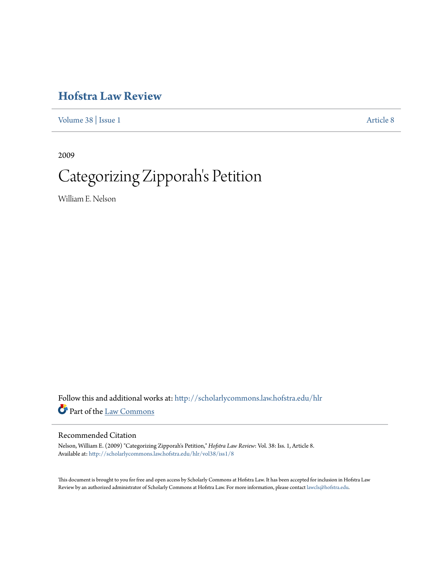## **[Hofstra Law Review](http://scholarlycommons.law.hofstra.edu/hlr?utm_source=scholarlycommons.law.hofstra.edu%2Fhlr%2Fvol38%2Fiss1%2F8&utm_medium=PDF&utm_campaign=PDFCoverPages)**

[Volume 38](http://scholarlycommons.law.hofstra.edu/hlr/vol38?utm_source=scholarlycommons.law.hofstra.edu%2Fhlr%2Fvol38%2Fiss1%2F8&utm_medium=PDF&utm_campaign=PDFCoverPages) | [Issue 1](http://scholarlycommons.law.hofstra.edu/hlr/vol38/iss1?utm_source=scholarlycommons.law.hofstra.edu%2Fhlr%2Fvol38%2Fiss1%2F8&utm_medium=PDF&utm_campaign=PDFCoverPages) [Article 8](http://scholarlycommons.law.hofstra.edu/hlr/vol38/iss1/8?utm_source=scholarlycommons.law.hofstra.edu%2Fhlr%2Fvol38%2Fiss1%2F8&utm_medium=PDF&utm_campaign=PDFCoverPages)

2009

# Categorizing Zipporah's Petition

William E. Nelson

Follow this and additional works at: [http://scholarlycommons.law.hofstra.edu/hlr](http://scholarlycommons.law.hofstra.edu/hlr?utm_source=scholarlycommons.law.hofstra.edu%2Fhlr%2Fvol38%2Fiss1%2F8&utm_medium=PDF&utm_campaign=PDFCoverPages) Part of the [Law Commons](http://network.bepress.com/hgg/discipline/578?utm_source=scholarlycommons.law.hofstra.edu%2Fhlr%2Fvol38%2Fiss1%2F8&utm_medium=PDF&utm_campaign=PDFCoverPages)

## Recommended Citation

Nelson, William E. (2009) "Categorizing Zipporah's Petition," *Hofstra Law Review*: Vol. 38: Iss. 1, Article 8. Available at: [http://scholarlycommons.law.hofstra.edu/hlr/vol38/iss1/8](http://scholarlycommons.law.hofstra.edu/hlr/vol38/iss1/8?utm_source=scholarlycommons.law.hofstra.edu%2Fhlr%2Fvol38%2Fiss1%2F8&utm_medium=PDF&utm_campaign=PDFCoverPages)

This document is brought to you for free and open access by Scholarly Commons at Hofstra Law. It has been accepted for inclusion in Hofstra Law Review by an authorized administrator of Scholarly Commons at Hofstra Law. For more information, please contact [lawcls@hofstra.edu](mailto:lawcls@hofstra.edu).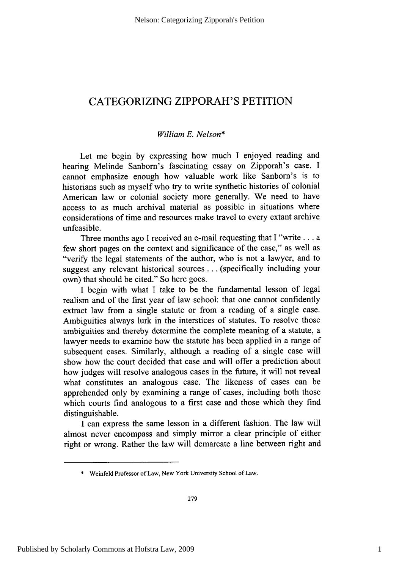## **CATEGORIZING** ZIPPORAH'S **PETITION**

### *William E. Nelson\**

Let me begin **by** expressing how much **I** enjoyed reading and hearing Melinde Sanborn's fascinating essay on Zipporah's case. **I** cannot emphasize enough how valuable work like Sanborn's is to historians such as myself who try to write synthetic histories of colonial American law or colonial society more generally. We need to have access to as much archival material as possible in situations where considerations of time and resources make travel to every extant archive unfeasible.

Three months ago **I** received an e-mail requesting that **I** "write **. ..** a few short pages on the context and significance of the case," as well as "verify the legal statements of the author, who is not a lawyer, and to suggest any relevant historical sources **...** (specifically including your own) that should be cited." So here goes.

**I** begin with what **I** take to be the fundamental lesson of legal realism and of the first year of law school: that one cannot confidently extract law from a single statute or from a reading of a single case. Ambiguities always lurk in the interstices of statutes. To resolve those ambiguities and thereby determine the complete meaning of a statute, a lawyer needs to examine how the statute has been applied in a range of subsequent cases. Similarly, although a reading of a single case will show how the court decided that case and will offer a prediction about how judges will resolve analogous cases in the future, it will not reveal what constitutes an analogous case. The likeness of cases can be apprehended only **by** examining a range of cases, including both those which courts find analogous to a first case and those which they find distinguishable.

**I** can express the same lesson in a different fashion. The law will almost never encompass and simply mirror a clear principle of either right or wrong. Rather the law will demarcate a line between right and

**<sup>\*</sup>** Weinfeld Professor of Law, New York University School of Law.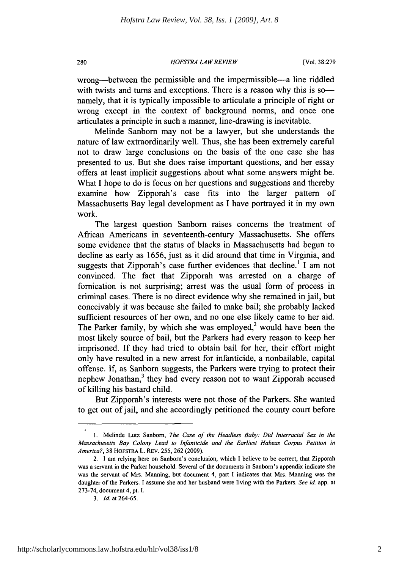#### *HOFSTRA LAW REVIEW* **280** [Vol. **38:279**

wrong—between the permissible and the impermissible—a line riddled with twists and turns and exceptions. There is a reason why this is sonamely, that it is typically impossible to articulate a principle of right or wrong except in the context of background norms, and once one articulates a principle in such a manner, line-drawing is inevitable.

Melinde Sanborn may not be a lawyer, but she understands the nature of law extraordinarily well. Thus, she has been extremely careful not to draw large conclusions on the basis of the one case she has presented to us. But she does raise important questions, and her essay offers at least implicit suggestions about what some answers might be. What I hope to do is focus on her questions and suggestions and thereby examine how Zipporah's case fits into the larger pattern of Massachusetts Bay legal development as **I** have portrayed it in my own work.

The largest question Sanborn raises concerns the treatment of African Americans in seventeenth-century Massachusetts. She offers some evidence that the status of blacks in Massachusetts had begun to decline as early as **1656,** just as it did around that time in Virginia, and suggests that Zipporah's case further evidences that decline.' **I** am not convinced. The fact that Zipporah was arrested on a charge of fornication is not surprising; arrest was the usual form of process in criminal cases. There is no direct evidence why she remained in jail, but conceivably it was because she failed to make bail; she probably lacked sufficient resources of her own, and no one else likely came to her aid. The Parker family, by which she was employed,<sup>2</sup> would have been the most likely source of bail, but the Parkers had every reason to keep her imprisoned. **If** they had tried to obtain bail for her, their effort might only have resulted in a new arrest for infanticide, a nonbailable, capital offense. **If,** as Sanborn suggests, the Parkers were trying to protect their nephew Jonathan, $3$  they had every reason not to want Zipporah accused of killing his bastard child.

But Zipporah's interests were not those of the Parkers. She wanted to get out of jail, and she accordingly petitioned the county court before

**<sup>1.</sup>** Melinde Lutz Sanborn, *The Case of the Headless Baby: Did Interracial Sex in the Massachusetts Bay Colony Lead to Infanticide and the Earliest Habeas Corpus Petition in America?,* **38** HOFSTRA L. REv. **255, 262 (2009).**

<sup>2.</sup> **1** am relying here on Sanborn's conclusion, which **I** believe to be correct, that Zipporah was a servant in the Parker household. Several of the documents in Sanborn's appendix indicate she was the servant of Mrs. Manning, but document 4, part **I** indicates that Mrs. Manning was the daughter of the Parkers. **I** assume she and her husband were living with the Parkers. *See id* app. at **273-74,** document 4, pt. I.

*<sup>3.</sup> Id.* at **264-65.**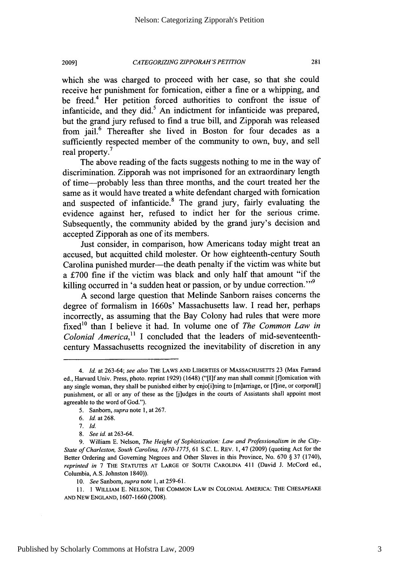*CATEGORIZING ZIPPORAH'S PETITION* **2009]1 281**

which she was charged to proceed with her case, so that she could receive her punishment for fornication, either a fine or a whipping, and be freed.<sup>4</sup> Her petition forced authorities to confront the issue of infanticide, and they did. $5$  An indictment for infanticide was prepared, but the grand jury refused to find a true bill, and Zipporah was released from jail.<sup>6</sup> Thereafter she lived in Boston for four decades as a sufficiently respected member of the community to own, buy, and sell real property.<sup>7</sup>

The above reading of the facts suggests nothing to me in the way of discrimination. Zipporah was not imprisoned for an extraordinary length of time-probably less than three months, and the court treated her the same as it would have treated a white defendant charged with fornication and suspected of infanticide.<sup>8</sup> The grand jury, fairly evaluating the evidence against her, refused to indict her for the serious crime. Subsequently, the community abided **by** the grand jury's decision and accepted Zipporah as one of its members.

Just consider, in comparison, how Americans today might treat an accused, but acquitted child molester. Or how eighteenth-century South Carolina punished murder—the death penalty if the victim was white but a **£700** fine if the victim was black and only half that amount "if the killing occurred in 'a sudden heat or passion, or by undue correction."<sup>9</sup>

**A** second large question that Melinde Sanborn raises concerns the degree of formalism in 1660s' Massachusetts law. **I** read her, perhaps incorrectly, as assuming that the Bay Colony had rules that were more fixed<sup>10</sup> than I believe it had. In volume one of *The Common Law in Colonial America," I* concluded that the leaders of mid-seventeenthcentury Massachusetts recognized the inevitability of discretion in any

*<sup>4.</sup> Id. at* **263-64;** *see also* **THE LAWS AND LIBERTIES OF MASSACHUSETTS 23 (Max Farrand** ed., Harvard Univ. Press, photo. reprint **1929)** (1648) **("[I]f** any man shall commit [flomication with any single woman, they shall be punished either by enjo[i]ning to [m]arriage, or [f]ine, or corporal[] punishment, or all or any of these as the [jiudges in the courts of Assistants shall appoint most agreeable to the word of God.").

*<sup>5.</sup>* Sanborn, *supra* note **1,** at **267.**

**<sup>6.</sup>** *Id* at **268.**

**<sup>7.</sup>** *Id.*

**<sup>8.</sup>** *See id.* at **263-64.**

**<sup>9.</sup>** William **E.** Nelson, *The Height of Sophistication: Law and Professionalism in the City-State of Charleston, South Carolina, 1670-1775,* **61 S.C.** L. REv. **1,** 47 **(2009)** (quoting Act for the Better Ordering and Governing Negroes and Other Slaves in this Province, No. **670 § 37** (1740), *reprinted in* **7** THE **STATUTES AT** LARGE OF **SOUTH** CAROLINA 411 (David **J.** McCord ed., Columbia, **A.S.** Johnston 1840)).

*<sup>10.</sup> See Sanborn, supra note* **1,** at *259-61.*

**<sup>11. 1</sup>** WILLIAM **E. NELSON,** THE COMMON LAW **IN COLONIAL AMERICA: THE CHESAPEAKE AND** NEW **ENGLAND, 1607-1660 (2008).**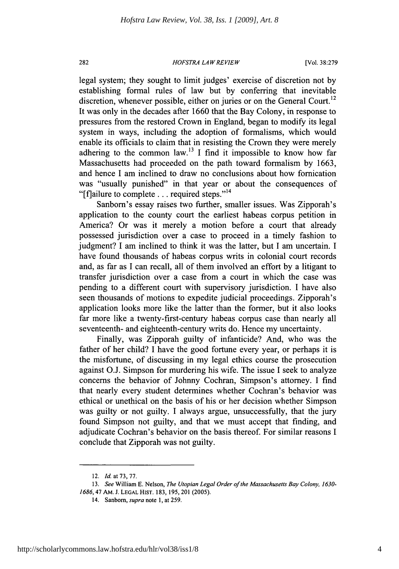#### *HOFSTRA LAW REVIEW* **282** [Vol. **38:279**

legal system; they sought to limit judges' exercise of discretion not **by** establishing formal rules of law but **by** conferring that inevitable discretion, whenever possible, either on juries or on the General Court.<sup>12</sup> It was only in the decades after **1660** that the Bay Colony, in response to pressures from the restored Crown in England, began to modify its legal system in ways, including the adoption of formalisms, which would enable its officials to claim that in resisting the Crown they were merely adhering to the common law.<sup>13</sup> I find it impossible to know how far Massachusetts had proceeded on the path toward formalism **by 1663,** and hence **I** am inclined to draw no conclusions about how fornication was "usually punished" in that year or about the consequences of "[fjailure to complete **. . .** required steps."l <sup>4</sup>

Sanborn's essay raises two further, smaller issues. Was Zipporah's application to the county court the earliest habeas corpus petition in America? Or was it merely a motion before a court that already possessed jurisdiction over a case to proceed in a timely fashion to judgment? **I** am inclined to think it was the latter, but **I** am uncertain. **I** have found thousands of habeas corpus writs in colonial court records and, as far as **I** can recall, all of them involved an effort **by** a litigant to transfer jurisdiction over a case from a court in which the case was pending to a different court with supervisory jurisdiction. **I** have also seen thousands of motions to expedite judicial proceedings. Zipporah's application looks more like the latter than the former, but it also looks far more like a twenty-first-century habeas corpus case than nearly all seventeenth- and eighteenth-century writs do. Hence my uncertainty.

Finally, was Zipporah guilty of infanticide? And, who was the father of her child? **I** have the good fortune every year, or perhaps it is the misfortune, of discussing in my legal ethics course the prosecution against **O.J.** Simpson for murdering his wife. The issue **I** seek to analyze concerns the behavior of Johnny Cochran, Simpson's attorney. **I** find that nearly every student determines whether Cochran's behavior was ethical or unethical on the basis of his or her decision whether Simpson was guilty or not guilty. **I** always argue, unsuccessfully, that the jury found Simpson not guilty, and that we must accept that finding, and adjudicate Cochran's behavior on the basis thereof. For similar reasons **I** conclude that Zipporah was not guilty.

<sup>12.</sup> *Id. at* **73, 77.**

*<sup>13.</sup> See* William **E.** Nelson, *The Utopian Legal Order of the Massachusetts Bay Colony, 1630- 1686,47* AM. **J. LEGAL HIST. 183, 195,** 201 **(2005).**

<sup>14.</sup> Sanborn, *supra note* **1,** at **259.**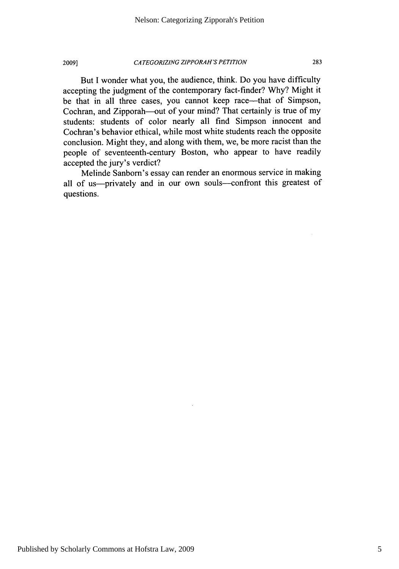**2009]** *CATEGORIZING ZIPPORAH'S PETITION* **283**

But I wonder what you, the audience, think. Do you have difficulty accepting the judgment of the contemporary fact-finder? **Why?** Might it be that in all three cases, you cannot keep race-that of Simpson, Cochran, and Zipporah-out of your mind? That certainly is true of my students: students of color nearly all find Simpson innocent and Cochran's behavior ethical, while most white students reach the opposite conclusion. Might they, and along with them, we, be more racist than the people of seventeenth-century Boston, who appear to have readily accepted the jury's verdict?

Melinde Sanborn's essay can render an enormous service in making all of us-privately and in our own souls-confront this greatest of questions.